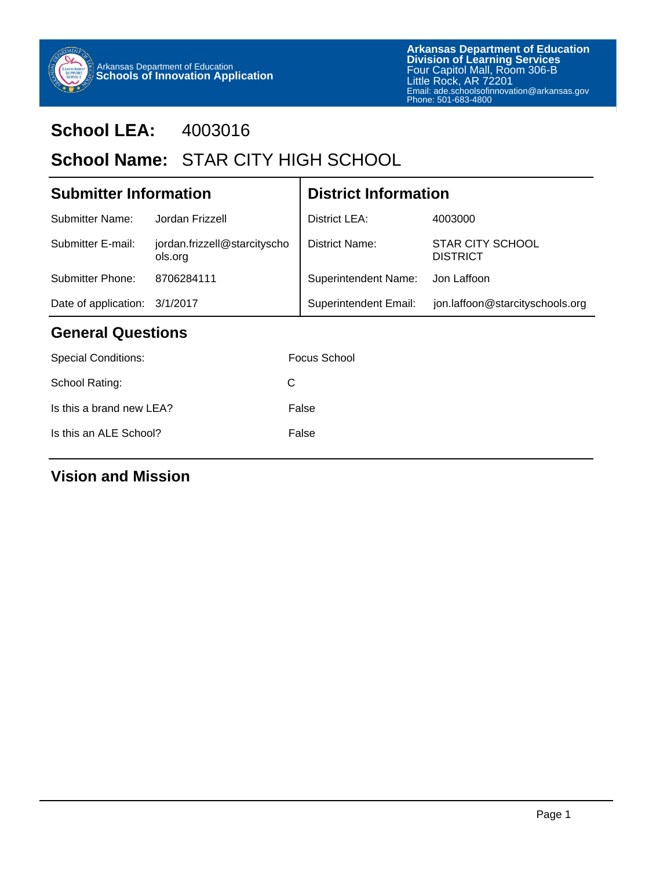

# **School LEA:** 4003016

# School Name: STAR CITY HIGH SCHOOL

| <b>Submitter Information</b>              |                                         | <b>District Information</b>  |                                            |  |  |
|-------------------------------------------|-----------------------------------------|------------------------------|--------------------------------------------|--|--|
| <b>Submitter Name:</b>                    | Jordan Frizzell                         | District LEA:                | 4003000                                    |  |  |
| Submitter E-mail:                         | jordan.frizzell@starcityscho<br>ols.org | District Name:               | <b>STAR CITY SCHOOL</b><br><b>DISTRICT</b> |  |  |
| <b>Submitter Phone:</b>                   | 8706284111                              | <b>Superintendent Name:</b>  | Jon Laffoon                                |  |  |
| Date of application: 3/1/2017             |                                         | <b>Superintendent Email:</b> | jon.laffoon@starcityschools.org            |  |  |
| <b>General Questions</b>                  |                                         |                              |                                            |  |  |
| $\sim$ $\sim$ $\sim$ $\sim$ $\sim$ $\sim$ |                                         | — <u>Ан</u> и                |                                            |  |  |

| Focus School |
|--------------|
| C            |
| False        |
| False        |
|              |

## **Vision and Mission**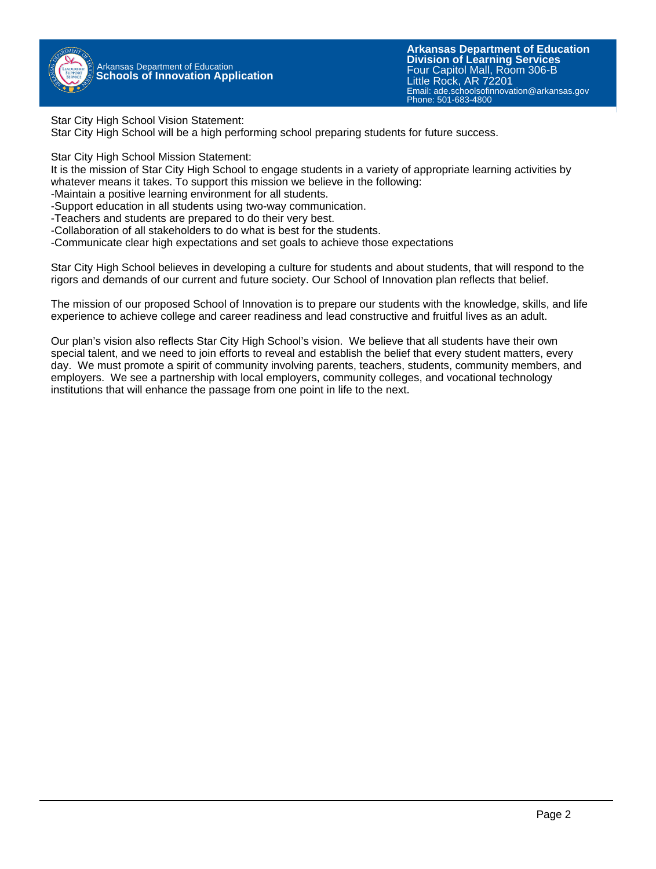

Star City High School Vision Statement:

Star City High School will be a high performing school preparing students for future success.

Star City High School Mission Statement:

It is the mission of Star City High School to engage students in a variety of appropriate learning activities by whatever means it takes. To support this mission we believe in the following:

- -Maintain a positive learning environment for all students.
- -Support education in all students using two-way communication.
- -Teachers and students are prepared to do their very best.
- -Collaboration of all stakeholders to do what is best for the students.
- -Communicate clear high expectations and set goals to achieve those expectations

Star City High School believes in developing a culture for students and about students, that will respond to the rigors and demands of our current and future society. Our School of Innovation plan reflects that belief.

The mission of our proposed School of Innovation is to prepare our students with the knowledge, skills, and life experience to achieve college and career readiness and lead constructive and fruitful lives as an adult.

Our plan's vision also reflects Star City High School's vision. We believe that all students have their own special talent, and we need to join efforts to reveal and establish the belief that every student matters, every day. We must promote a spirit of community involving parents, teachers, students, community members, and employers. We see a partnership with local employers, community colleges, and vocational technology institutions that will enhance the passage from one point in life to the next.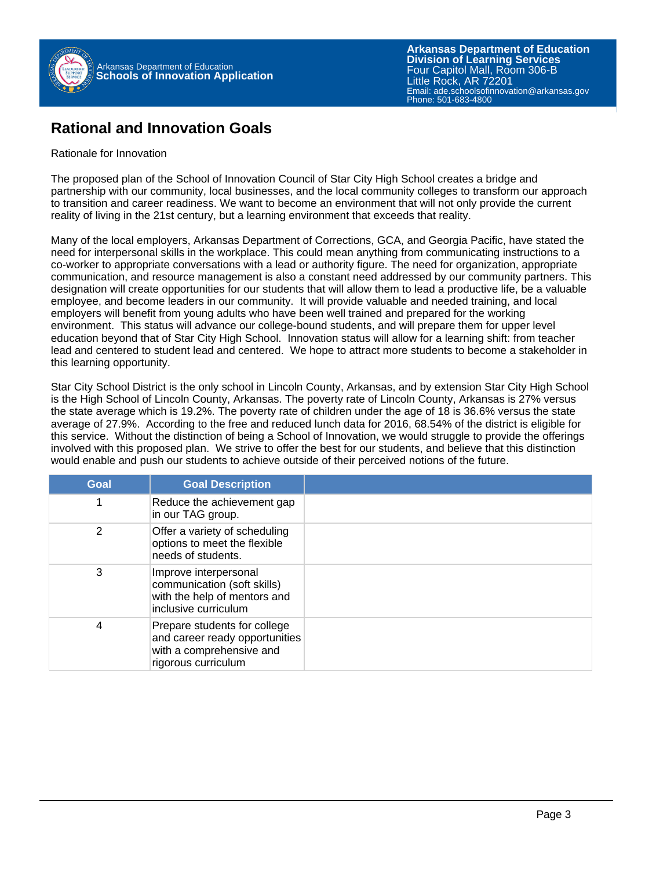

#### **Rational and Innovation Goals**

#### Rationale for Innovation

The proposed plan of the School of Innovation Council of Star City High School creates a bridge and partnership with our community, local businesses, and the local community colleges to transform our approach to transition and career readiness. We want to become an environment that will not only provide the current reality of living in the 21st century, but a learning environment that exceeds that reality.

Many of the local employers, Arkansas Department of Corrections, GCA, and Georgia Pacific, have stated the need for interpersonal skills in the workplace. This could mean anything from communicating instructions to a co-worker to appropriate conversations with a lead or authority figure. The need for organization, appropriate communication, and resource management is also a constant need addressed by our community partners. This designation will create opportunities for our students that will allow them to lead a productive life, be a valuable employee, and become leaders in our community. It will provide valuable and needed training, and local employers will benefit from young adults who have been well trained and prepared for the working environment. This status will advance our college-bound students, and will prepare them for upper level education beyond that of Star City High School. Innovation status will allow for a learning shift: from teacher lead and centered to student lead and centered. We hope to attract more students to become a stakeholder in this learning opportunity.

Star City School District is the only school in Lincoln County, Arkansas, and by extension Star City High School is the High School of Lincoln County, Arkansas. The poverty rate of Lincoln County, Arkansas is 27% versus the state average which is 19.2%. The poverty rate of children under the age of 18 is 36.6% versus the state average of 27.9%. According to the free and reduced lunch data for 2016, 68.54% of the district is eligible for this service. Without the distinction of being a School of Innovation, we would struggle to provide the offerings involved with this proposed plan. We strive to offer the best for our students, and believe that this distinction would enable and push our students to achieve outside of their perceived notions of the future.

| <b>Goal</b> | <b>Goal Description</b>                                                                                           |  |
|-------------|-------------------------------------------------------------------------------------------------------------------|--|
|             | Reduce the achievement gap<br>in our TAG group.                                                                   |  |
| 2           | Offer a variety of scheduling<br>options to meet the flexible<br>needs of students.                               |  |
| 3           | Improve interpersonal<br>communication (soft skills)<br>with the help of mentors and<br>inclusive curriculum      |  |
| 4           | Prepare students for college<br>and career ready opportunities<br>with a comprehensive and<br>rigorous curriculum |  |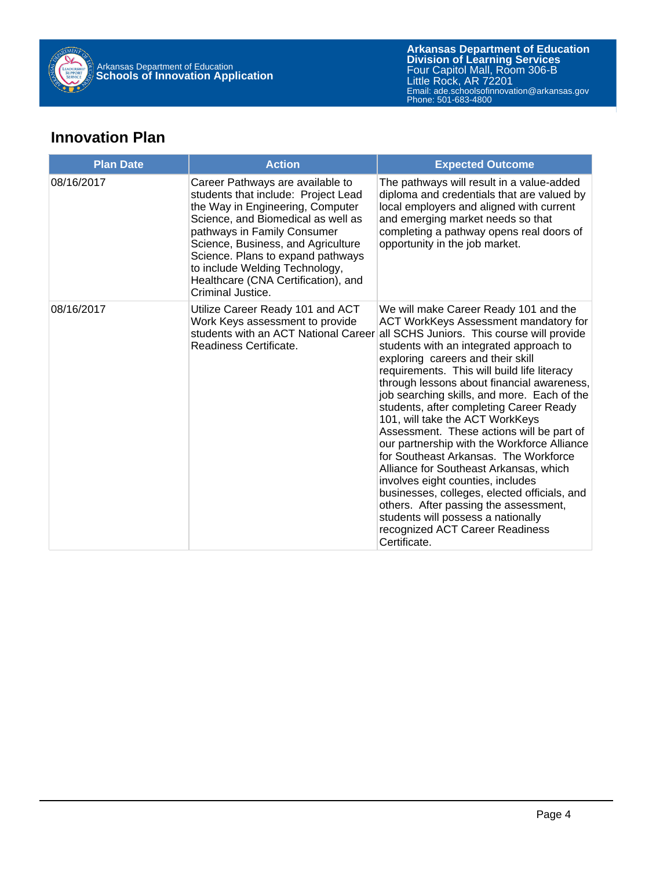

#### **Innovation Plan**

| <b>Plan Date</b> | <b>Action</b>                                                                                                                                                                                                                                                                                                                                             | <b>Expected Outcome</b>                                                                                                                                                                                                                                                                                                                                                                                                                                                                                                                                                                                                                                                                                                                                                                                                                      |
|------------------|-----------------------------------------------------------------------------------------------------------------------------------------------------------------------------------------------------------------------------------------------------------------------------------------------------------------------------------------------------------|----------------------------------------------------------------------------------------------------------------------------------------------------------------------------------------------------------------------------------------------------------------------------------------------------------------------------------------------------------------------------------------------------------------------------------------------------------------------------------------------------------------------------------------------------------------------------------------------------------------------------------------------------------------------------------------------------------------------------------------------------------------------------------------------------------------------------------------------|
| 08/16/2017       | Career Pathways are available to<br>students that include: Project Lead<br>the Way in Engineering, Computer<br>Science, and Biomedical as well as<br>pathways in Family Consumer<br>Science, Business, and Agriculture<br>Science. Plans to expand pathways<br>to include Welding Technology,<br>Healthcare (CNA Certification), and<br>Criminal Justice. | The pathways will result in a value-added<br>diploma and credentials that are valued by<br>local employers and aligned with current<br>and emerging market needs so that<br>completing a pathway opens real doors of<br>opportunity in the job market.                                                                                                                                                                                                                                                                                                                                                                                                                                                                                                                                                                                       |
| 08/16/2017       | Utilize Career Ready 101 and ACT<br>Work Keys assessment to provide<br>students with an ACT National Career<br>Readiness Certificate.                                                                                                                                                                                                                     | We will make Career Ready 101 and the<br>ACT WorkKeys Assessment mandatory for<br>all SCHS Juniors. This course will provide<br>students with an integrated approach to<br>exploring careers and their skill<br>requirements. This will build life literacy<br>through lessons about financial awareness,<br>job searching skills, and more. Each of the<br>students, after completing Career Ready<br>101, will take the ACT WorkKeys<br>Assessment. These actions will be part of<br>our partnership with the Workforce Alliance<br>for Southeast Arkansas. The Workforce<br>Alliance for Southeast Arkansas, which<br>involves eight counties, includes<br>businesses, colleges, elected officials, and<br>others. After passing the assessment,<br>students will possess a nationally<br>recognized ACT Career Readiness<br>Certificate. |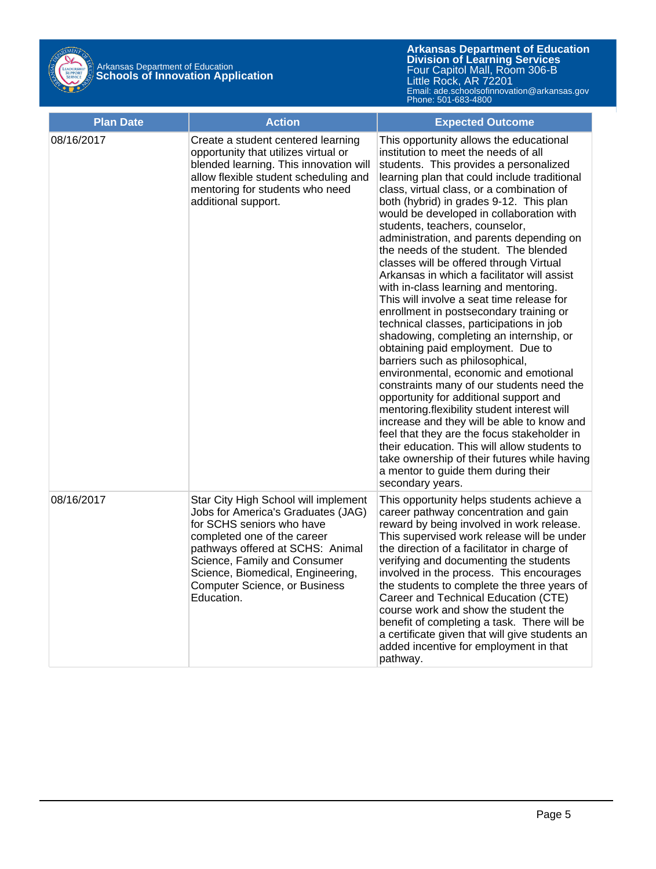

| <b>Plan Date</b> | <b>Action</b>                                                                                                                                                                                                                                                                                         | <b>Expected Outcome</b>                                                                                                                                                                                                                                                                                                                                                                                                                                                                                                                                                                                                                                                                                                                                                                                                                                                                                                                                                                                                                                                                                                                                                                                                                                               |
|------------------|-------------------------------------------------------------------------------------------------------------------------------------------------------------------------------------------------------------------------------------------------------------------------------------------------------|-----------------------------------------------------------------------------------------------------------------------------------------------------------------------------------------------------------------------------------------------------------------------------------------------------------------------------------------------------------------------------------------------------------------------------------------------------------------------------------------------------------------------------------------------------------------------------------------------------------------------------------------------------------------------------------------------------------------------------------------------------------------------------------------------------------------------------------------------------------------------------------------------------------------------------------------------------------------------------------------------------------------------------------------------------------------------------------------------------------------------------------------------------------------------------------------------------------------------------------------------------------------------|
| 08/16/2017       | Create a student centered learning<br>opportunity that utilizes virtual or<br>blended learning. This innovation will<br>allow flexible student scheduling and<br>mentoring for students who need<br>additional support.                                                                               | This opportunity allows the educational<br>institution to meet the needs of all<br>students. This provides a personalized<br>learning plan that could include traditional<br>class, virtual class, or a combination of<br>both (hybrid) in grades 9-12. This plan<br>would be developed in collaboration with<br>students, teachers, counselor,<br>administration, and parents depending on<br>the needs of the student. The blended<br>classes will be offered through Virtual<br>Arkansas in which a facilitator will assist<br>with in-class learning and mentoring.<br>This will involve a seat time release for<br>enrollment in postsecondary training or<br>technical classes, participations in job<br>shadowing, completing an internship, or<br>obtaining paid employment. Due to<br>barriers such as philosophical,<br>environmental, economic and emotional<br>constraints many of our students need the<br>opportunity for additional support and<br>mentoring.flexibility student interest will<br>increase and they will be able to know and<br>feel that they are the focus stakeholder in<br>their education. This will allow students to<br>take ownership of their futures while having<br>a mentor to guide them during their<br>secondary years. |
| 08/16/2017       | Star City High School will implement<br>Jobs for America's Graduates (JAG)<br>for SCHS seniors who have<br>completed one of the career<br>pathways offered at SCHS: Animal<br>Science, Family and Consumer<br>Science, Biomedical, Engineering,<br><b>Computer Science, or Business</b><br>Education. | This opportunity helps students achieve a<br>career pathway concentration and gain<br>reward by being involved in work release.<br>This supervised work release will be under<br>the direction of a facilitator in charge of<br>verifying and documenting the students<br>involved in the process. This encourages<br>the students to complete the three years of<br>Career and Technical Education (CTE)<br>course work and show the student the<br>benefit of completing a task. There will be<br>a certificate given that will give students an<br>added incentive for employment in that<br>pathway.                                                                                                                                                                                                                                                                                                                                                                                                                                                                                                                                                                                                                                                              |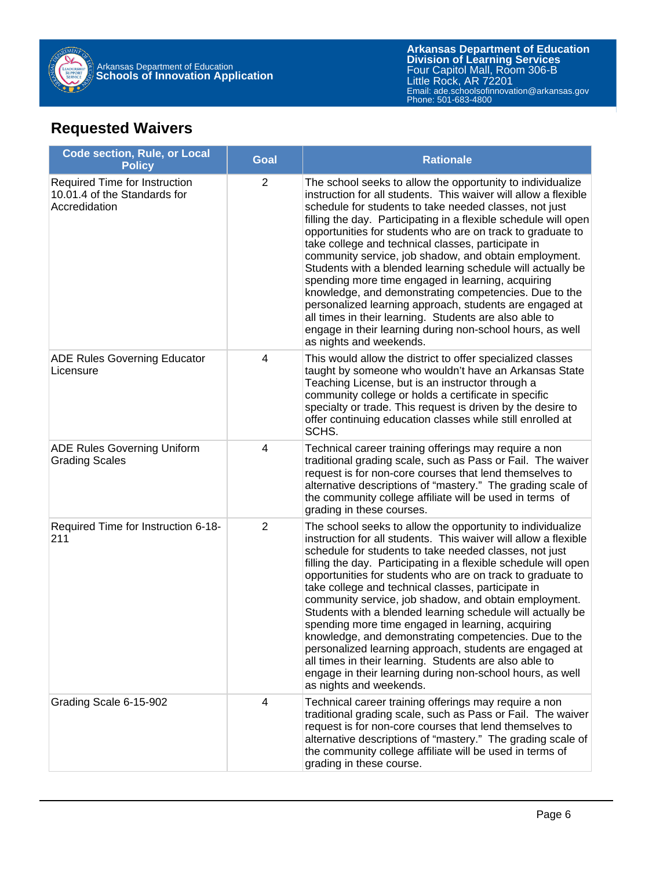

#### **Requested Waivers**

| <b>Code section, Rule, or Local</b><br><b>Policy</b>                           | <b>Goal</b>    | <b>Rationale</b>                                                                                                                                                                                                                                                                                                                                                                                                                                                                                                                                                                                                                                                                                                                                                                                                                 |
|--------------------------------------------------------------------------------|----------------|----------------------------------------------------------------------------------------------------------------------------------------------------------------------------------------------------------------------------------------------------------------------------------------------------------------------------------------------------------------------------------------------------------------------------------------------------------------------------------------------------------------------------------------------------------------------------------------------------------------------------------------------------------------------------------------------------------------------------------------------------------------------------------------------------------------------------------|
| Required Time for Instruction<br>10.01.4 of the Standards for<br>Accredidation | $\overline{2}$ | The school seeks to allow the opportunity to individualize<br>instruction for all students. This waiver will allow a flexible<br>schedule for students to take needed classes, not just<br>filling the day. Participating in a flexible schedule will open<br>opportunities for students who are on track to graduate to<br>take college and technical classes, participate in<br>community service, job shadow, and obtain employment.<br>Students with a blended learning schedule will actually be<br>spending more time engaged in learning, acquiring<br>knowledge, and demonstrating competencies. Due to the<br>personalized learning approach, students are engaged at<br>all times in their learning. Students are also able to<br>engage in their learning during non-school hours, as well<br>as nights and weekends. |
| <b>ADE Rules Governing Educator</b><br>Licensure                               | 4              | This would allow the district to offer specialized classes<br>taught by someone who wouldn't have an Arkansas State<br>Teaching License, but is an instructor through a<br>community college or holds a certificate in specific<br>specialty or trade. This request is driven by the desire to<br>offer continuing education classes while still enrolled at<br>SCHS.                                                                                                                                                                                                                                                                                                                                                                                                                                                            |
| <b>ADE Rules Governing Uniform</b><br><b>Grading Scales</b>                    | 4              | Technical career training offerings may require a non<br>traditional grading scale, such as Pass or Fail. The waiver<br>request is for non-core courses that lend themselves to<br>alternative descriptions of "mastery." The grading scale of<br>the community college affiliate will be used in terms of<br>grading in these courses.                                                                                                                                                                                                                                                                                                                                                                                                                                                                                          |
| Required Time for Instruction 6-18-<br>211                                     | $\overline{2}$ | The school seeks to allow the opportunity to individualize<br>instruction for all students. This waiver will allow a flexible<br>schedule for students to take needed classes, not just<br>filling the day. Participating in a flexible schedule will open<br>opportunities for students who are on track to graduate to<br>take college and technical classes, participate in<br>community service, job shadow, and obtain employment.<br>Students with a blended learning schedule will actually be<br>spending more time engaged in learning, acquiring<br>knowledge, and demonstrating competencies. Due to the<br>personalized learning approach, students are engaged at<br>all times in their learning. Students are also able to<br>engage in their learning during non-school hours, as well<br>as nights and weekends. |
| Grading Scale 6-15-902                                                         | 4              | Technical career training offerings may require a non<br>traditional grading scale, such as Pass or Fail. The waiver<br>request is for non-core courses that lend themselves to<br>alternative descriptions of "mastery." The grading scale of<br>the community college affiliate will be used in terms of<br>grading in these course.                                                                                                                                                                                                                                                                                                                                                                                                                                                                                           |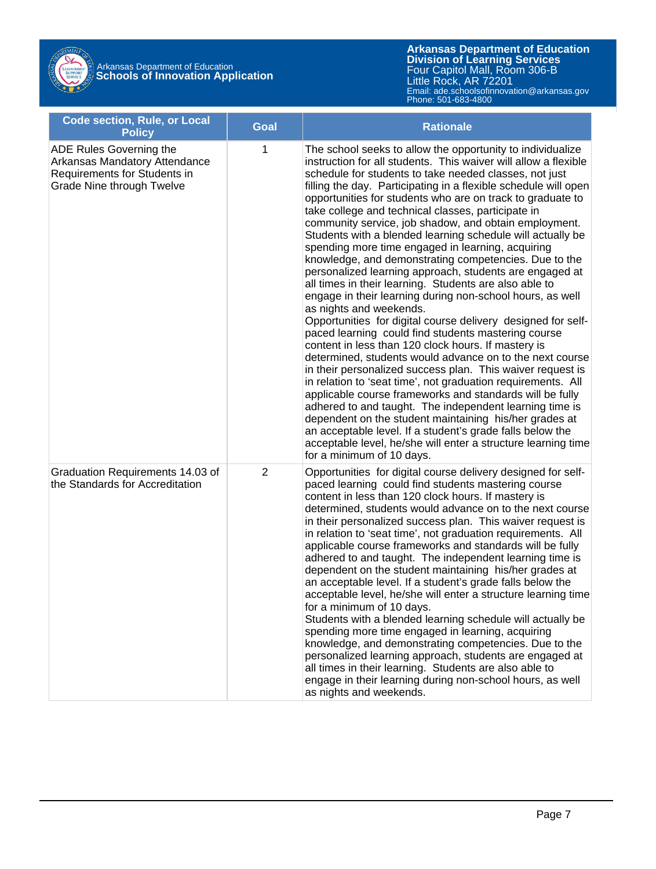| <b>Code section, Rule, or Local</b><br><b>Policy</b>                                                                  | <b>Goal</b>    | <b>Rationale</b>                                                                                                                                                                                                                                                                                                                                                                                                                                                                                                                                                                                                                                                                                                                                                                                                                                                                                                                                                                                                                                                                                                                                                                                                                                                                                                                                                                                                                                                                                                                                     |
|-----------------------------------------------------------------------------------------------------------------------|----------------|------------------------------------------------------------------------------------------------------------------------------------------------------------------------------------------------------------------------------------------------------------------------------------------------------------------------------------------------------------------------------------------------------------------------------------------------------------------------------------------------------------------------------------------------------------------------------------------------------------------------------------------------------------------------------------------------------------------------------------------------------------------------------------------------------------------------------------------------------------------------------------------------------------------------------------------------------------------------------------------------------------------------------------------------------------------------------------------------------------------------------------------------------------------------------------------------------------------------------------------------------------------------------------------------------------------------------------------------------------------------------------------------------------------------------------------------------------------------------------------------------------------------------------------------------|
| ADE Rules Governing the<br>Arkansas Mandatory Attendance<br>Requirements for Students in<br>Grade Nine through Twelve | 1              | The school seeks to allow the opportunity to individualize<br>instruction for all students. This waiver will allow a flexible<br>schedule for students to take needed classes, not just<br>filling the day. Participating in a flexible schedule will open<br>opportunities for students who are on track to graduate to<br>take college and technical classes, participate in<br>community service, job shadow, and obtain employment.<br>Students with a blended learning schedule will actually be<br>spending more time engaged in learning, acquiring<br>knowledge, and demonstrating competencies. Due to the<br>personalized learning approach, students are engaged at<br>all times in their learning. Students are also able to<br>engage in their learning during non-school hours, as well<br>as nights and weekends.<br>Opportunities for digital course delivery designed for self-<br>paced learning could find students mastering course<br>content in less than 120 clock hours. If mastery is<br>determined, students would advance on to the next course<br>in their personalized success plan. This waiver request is<br>in relation to 'seat time', not graduation requirements. All<br>applicable course frameworks and standards will be fully<br>adhered to and taught. The independent learning time is<br>dependent on the student maintaining his/her grades at<br>an acceptable level. If a student's grade falls below the<br>acceptable level, he/she will enter a structure learning time<br>for a minimum of 10 days. |
| Graduation Requirements 14.03 of<br>the Standards for Accreditation                                                   | $\overline{2}$ | Opportunities for digital course delivery designed for self-<br>paced learning could find students mastering course<br>content in less than 120 clock hours. If mastery is<br>determined, students would advance on to the next course<br>in their personalized success plan. This waiver request is<br>in relation to 'seat time', not graduation requirements. All<br>applicable course frameworks and standards will be fully<br>adhered to and taught. The independent learning time is<br>dependent on the student maintaining his/her grades at<br>an acceptable level. If a student's grade falls below the<br>acceptable level, he/she will enter a structure learning time<br>for a minimum of 10 days.<br>Students with a blended learning schedule will actually be<br>spending more time engaged in learning, acquiring<br>knowledge, and demonstrating competencies. Due to the<br>personalized learning approach, students are engaged at<br>all times in their learning. Students are also able to<br>engage in their learning during non-school hours, as well<br>as nights and weekends.                                                                                                                                                                                                                                                                                                                                                                                                                                            |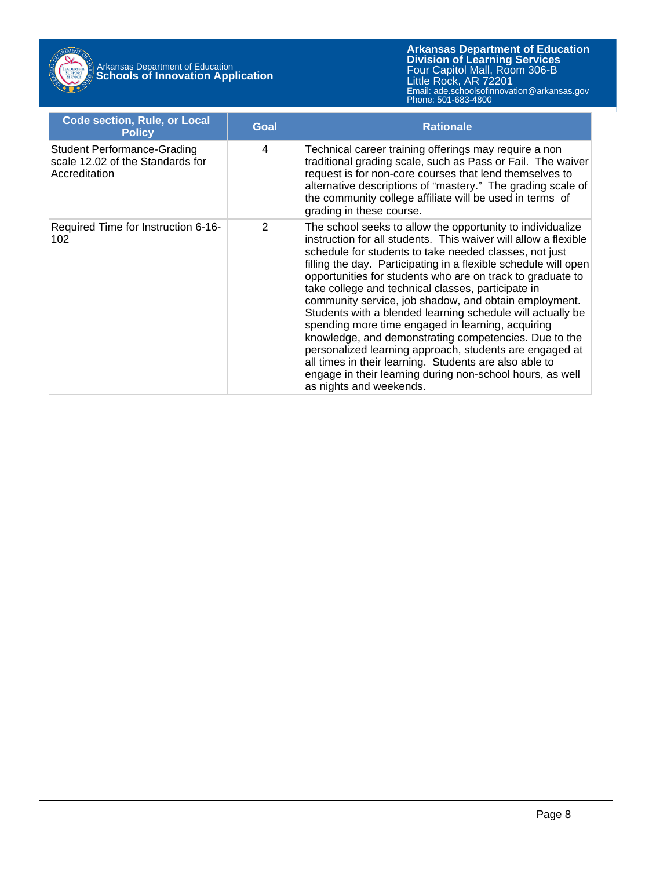

| <b>Code section, Rule, or Local</b><br><b>Policy</b>                                    | Goal | <b>Rationale</b>                                                                                                                                                                                                                                                                                                                                                                                                                                                                                                                                                                                                                                                                                                                                                                                                                 |
|-----------------------------------------------------------------------------------------|------|----------------------------------------------------------------------------------------------------------------------------------------------------------------------------------------------------------------------------------------------------------------------------------------------------------------------------------------------------------------------------------------------------------------------------------------------------------------------------------------------------------------------------------------------------------------------------------------------------------------------------------------------------------------------------------------------------------------------------------------------------------------------------------------------------------------------------------|
| <b>Student Performance-Grading</b><br>scale 12.02 of the Standards for<br>Accreditation | 4    | Technical career training offerings may require a non<br>traditional grading scale, such as Pass or Fail. The waiver<br>request is for non-core courses that lend themselves to<br>alternative descriptions of "mastery." The grading scale of<br>the community college affiliate will be used in terms of<br>grading in these course.                                                                                                                                                                                                                                                                                                                                                                                                                                                                                           |
| Required Time for Instruction 6-16-<br>102                                              | 2    | The school seeks to allow the opportunity to individualize<br>instruction for all students. This waiver will allow a flexible<br>schedule for students to take needed classes, not just<br>filling the day. Participating in a flexible schedule will open<br>opportunities for students who are on track to graduate to<br>take college and technical classes, participate in<br>community service, job shadow, and obtain employment.<br>Students with a blended learning schedule will actually be<br>spending more time engaged in learning, acquiring<br>knowledge, and demonstrating competencies. Due to the<br>personalized learning approach, students are engaged at<br>all times in their learning. Students are also able to<br>engage in their learning during non-school hours, as well<br>as nights and weekends. |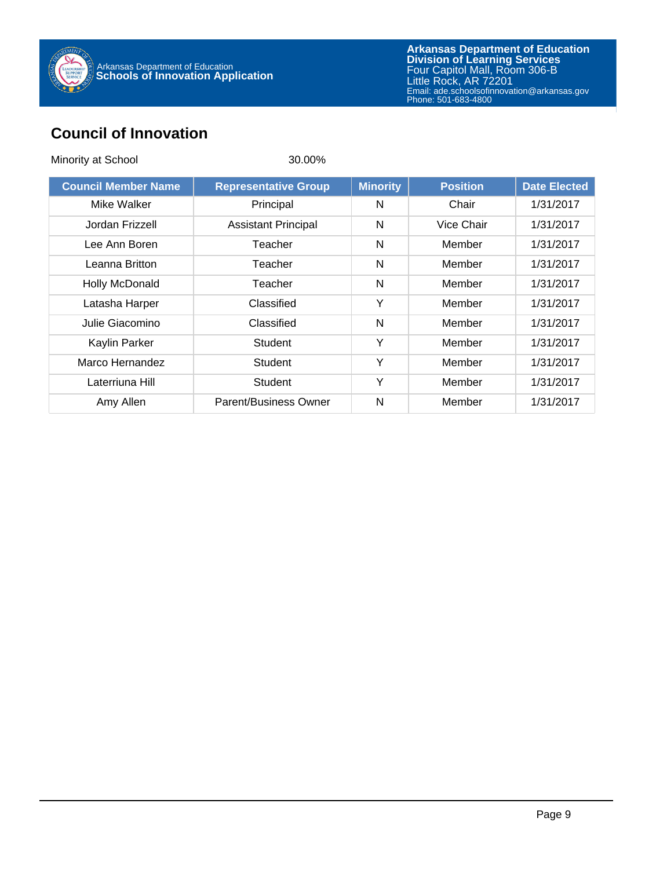

#### **Council of Innovation**

| Minority at School         | 30.00%                      |                 |                 |                     |
|----------------------------|-----------------------------|-----------------|-----------------|---------------------|
| <b>Council Member Name</b> | <b>Representative Group</b> | <b>Minority</b> | <b>Position</b> | <b>Date Elected</b> |
| Mike Walker                | Principal                   | N               | Chair           | 1/31/2017           |
| Jordan Frizzell            | <b>Assistant Principal</b>  | N               | Vice Chair      | 1/31/2017           |
| Lee Ann Boren              | Teacher                     | N               | Member          | 1/31/2017           |
| Leanna Britton             | Teacher                     | N               | Member          | 1/31/2017           |
| Holly McDonald             | Teacher                     | N               | Member          | 1/31/2017           |
| Latasha Harper             | Classified                  | Y               | Member          | 1/31/2017           |
| Julie Giacomino            | Classified                  | N               | Member          | 1/31/2017           |
| Kaylin Parker              | Student                     | Y               | Member          | 1/31/2017           |
| Marco Hernandez            | Student                     | Y               | Member          | 1/31/2017           |
| Laterriuna Hill            | <b>Student</b>              | Y               | Member          | 1/31/2017           |
| Amy Allen                  | Parent/Business Owner       | N               | Member          | 1/31/2017           |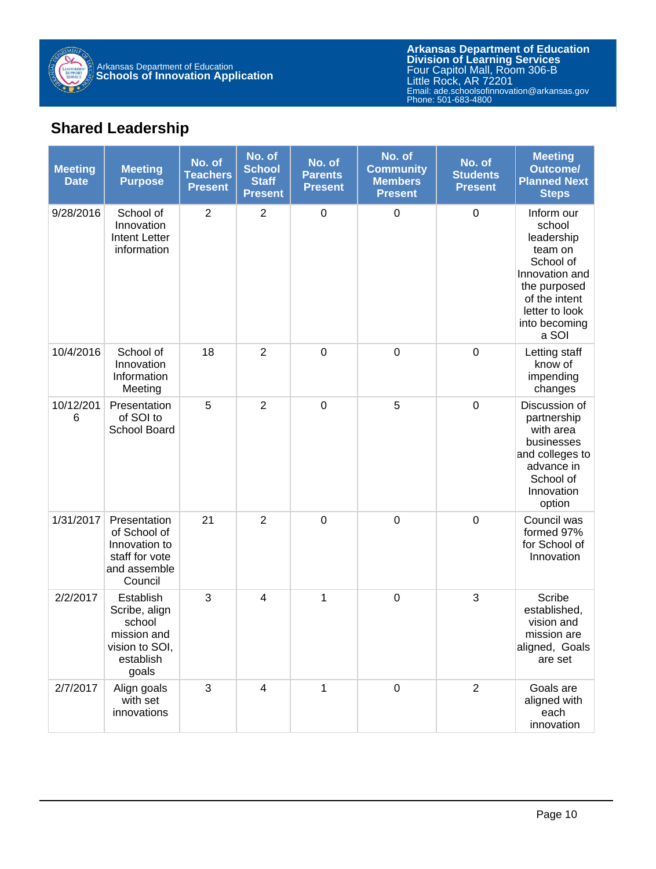

#### **Shared Leadership**

| <b>Meeting</b><br><b>Date</b> | <b>Meeting</b><br><b>Purpose</b>                                                            | No. of<br><b>Teachers</b><br><b>Present</b> | No. of<br><b>School</b><br><b>Staff</b><br><b>Present</b> | No. of<br><b>Parents</b><br><b>Present</b> | No. of<br><b>Community</b><br><b>Members</b><br><b>Present</b> | No. of<br><b>Students</b><br><b>Present</b> | <b>Meeting</b><br><b>Outcome/</b><br><b>Planned Next</b><br><b>Steps</b>                                                                                  |
|-------------------------------|---------------------------------------------------------------------------------------------|---------------------------------------------|-----------------------------------------------------------|--------------------------------------------|----------------------------------------------------------------|---------------------------------------------|-----------------------------------------------------------------------------------------------------------------------------------------------------------|
| 9/28/2016                     | School of<br>Innovation<br><b>Intent Letter</b><br>information                              | $\overline{2}$                              | $\overline{2}$                                            | $\boldsymbol{0}$                           | $\boldsymbol{0}$                                               | $\boldsymbol{0}$                            | Inform our<br>school<br>leadership<br>team on<br>School of<br>Innovation and<br>the purposed<br>of the intent<br>letter to look<br>into becoming<br>a SOI |
| 10/4/2016                     | School of<br>Innovation<br>Information<br>Meeting                                           | 18                                          | $\overline{2}$                                            | $\mathbf 0$                                | $\boldsymbol{0}$                                               | $\mathbf 0$                                 | Letting staff<br>know of<br>impending<br>changes                                                                                                          |
| 10/12/201<br>6                | Presentation<br>of SOI to<br>School Board                                                   | 5                                           | $\overline{2}$                                            | $\boldsymbol{0}$                           | 5                                                              | $\mathbf 0$                                 | Discussion of<br>partnership<br>with area<br>businesses<br>and colleges to<br>advance in<br>School of<br>Innovation<br>option                             |
| 1/31/2017                     | Presentation<br>of School of<br>Innovation to<br>staff for vote<br>and assemble<br>Council  | 21                                          | $\overline{2}$                                            | $\mathbf 0$                                | $\mathbf 0$                                                    | $\mathbf 0$                                 | Council was<br>formed 97%<br>for School of<br>Innovation                                                                                                  |
| 2/2/2017                      | Establish<br>Scribe, align<br>school<br>mission and<br>vision to SOI,<br>establish<br>goals | 3                                           | $\overline{\mathbf{4}}$                                   | 1                                          | $\boldsymbol{0}$                                               | 3                                           | Scribe<br>established,<br>vision and<br>mission are<br>aligned, Goals<br>are set                                                                          |
| 2/7/2017                      | Align goals<br>with set<br>innovations                                                      | 3                                           | 4                                                         | 1                                          | $\mathbf 0$                                                    | $\overline{2}$                              | Goals are<br>aligned with<br>each<br>innovation                                                                                                           |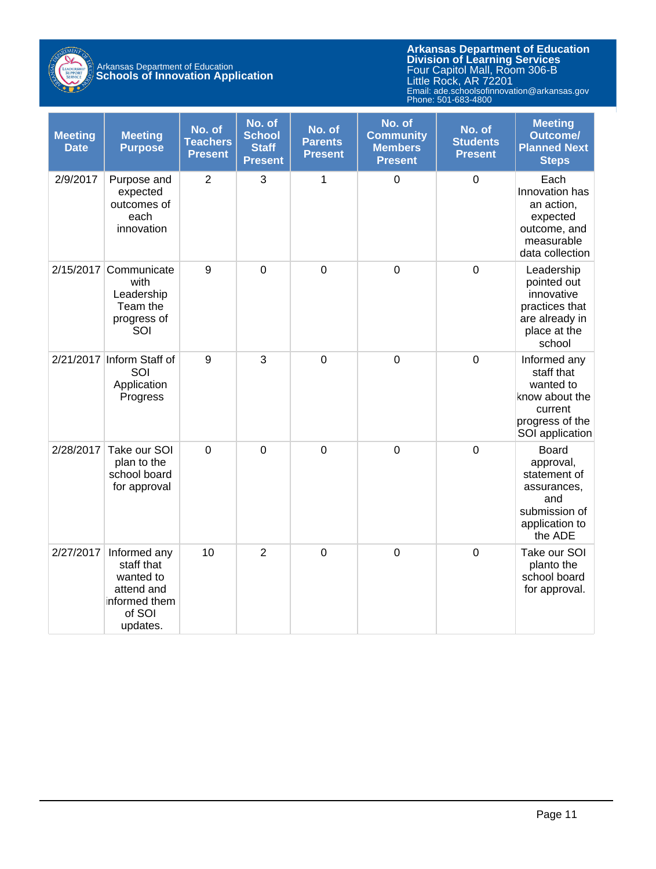

| <b>Meeting</b><br><b>Date</b> | <b>Meeting</b><br><b>Purpose</b>                                                             | No. of<br><b>Teachers</b><br><b>Present</b> | No. of<br><b>School</b><br><b>Staff</b><br><b>Present</b> | No. of<br><b>Parents</b><br><b>Present</b> | No. of<br><b>Community</b><br><b>Members</b><br><b>Present</b> | No. of<br><b>Students</b><br><b>Present</b> | <b>Meeting</b><br><b>Outcome/</b><br><b>Planned Next</b><br><b>Steps</b>                                      |
|-------------------------------|----------------------------------------------------------------------------------------------|---------------------------------------------|-----------------------------------------------------------|--------------------------------------------|----------------------------------------------------------------|---------------------------------------------|---------------------------------------------------------------------------------------------------------------|
| 2/9/2017                      | Purpose and<br>expected<br>outcomes of<br>each<br>innovation                                 | $\overline{2}$                              | 3                                                         | 1                                          | $\mathbf 0$                                                    | $\mathbf 0$                                 | Each<br>Innovation has<br>an action,<br>expected<br>outcome, and<br>measurable<br>data collection             |
| 2/15/2017                     | Communicate<br>with<br>Leadership<br>Team the<br>progress of<br>SOI                          | 9                                           | $\mathbf 0$                                               | $\mathbf 0$                                | $\mathbf 0$                                                    | $\mathbf 0$                                 | Leadership<br>pointed out<br>innovative<br>practices that<br>are already in<br>place at the<br>school         |
|                               | 2/21/2017 Inform Staff of<br>SOI<br>Application<br>Progress                                  | 9                                           | 3                                                         | $\mathbf 0$                                | $\mathbf 0$                                                    | $\mathbf 0$                                 | Informed any<br>staff that<br>wanted to<br>know about the<br>current<br>progress of the<br>SOI application    |
| 2/28/2017                     | Take our SOI<br>plan to the<br>school board<br>for approval                                  | $\mathbf 0$                                 | $\mathbf 0$                                               | $\mathbf 0$                                | $\mathbf 0$                                                    | $\mathbf 0$                                 | <b>Board</b><br>approval,<br>statement of<br>assurances,<br>and<br>submission of<br>application to<br>the ADE |
| 2/27/2017                     | Informed any<br>staff that<br>wanted to<br>attend and<br>informed them<br>of SOI<br>updates. | 10                                          | $\overline{2}$                                            | $\mathbf 0$                                | $\mathbf 0$                                                    | $\mathbf 0$                                 | Take our SOI<br>planto the<br>school board<br>for approval.                                                   |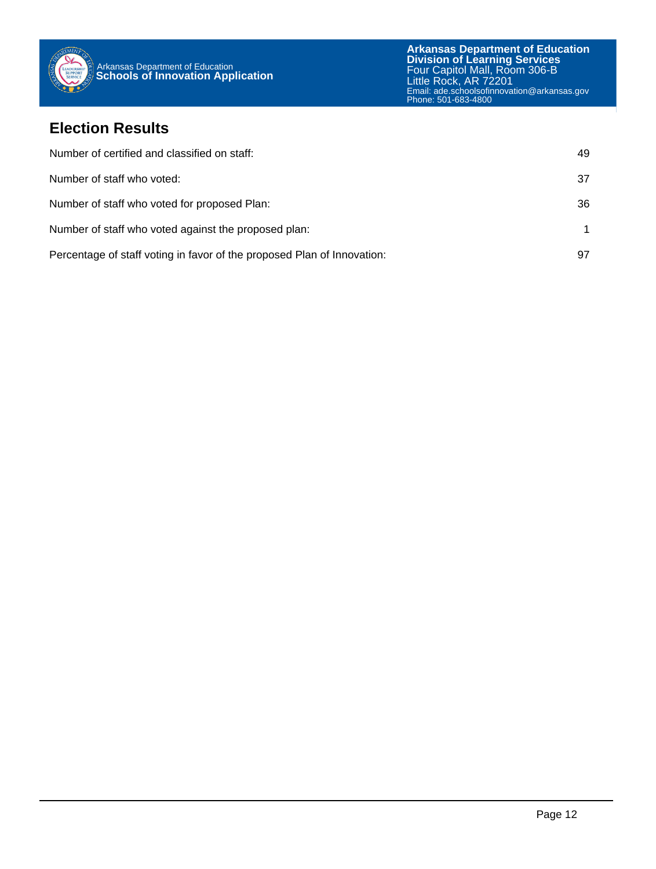

#### **Election Results**

| Number of certified and classified on staff:                            | 49 |
|-------------------------------------------------------------------------|----|
| Number of staff who voted:                                              | 37 |
| Number of staff who voted for proposed Plan:                            | 36 |
| Number of staff who voted against the proposed plan:                    |    |
| Percentage of staff voting in favor of the proposed Plan of Innovation: | 97 |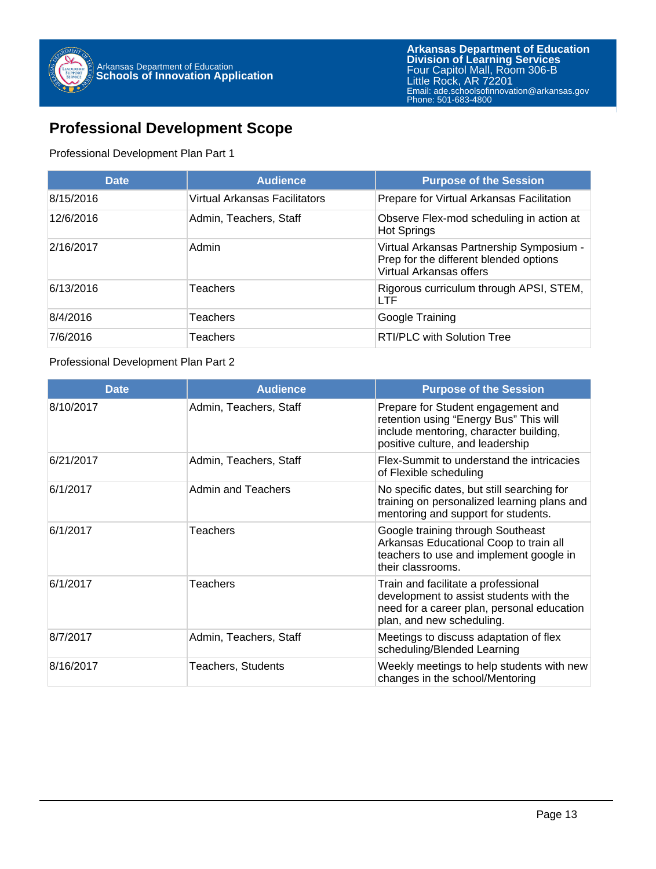#### **Professional Development Scope**

Professional Development Plan Part 1

| <b>Date</b> | <b>Audience</b>               | <b>Purpose of the Session</b>                                                                                 |
|-------------|-------------------------------|---------------------------------------------------------------------------------------------------------------|
| 8/15/2016   | Virtual Arkansas Facilitators | Prepare for Virtual Arkansas Facilitation                                                                     |
| 12/6/2016   | Admin, Teachers, Staff        | Observe Flex-mod scheduling in action at<br><b>Hot Springs</b>                                                |
| 2/16/2017   | Admin                         | Virtual Arkansas Partnership Symposium -<br>Prep for the different blended options<br>Virtual Arkansas offers |
| 6/13/2016   | <b>Teachers</b>               | Rigorous curriculum through APSI, STEM,<br><b>LTF</b>                                                         |
| 8/4/2016    | Teachers                      | Google Training                                                                                               |
| 7/6/2016    | Teachers                      | <b>RTI/PLC with Solution Tree</b>                                                                             |

#### Professional Development Plan Part 2

| <b>Date</b> | <b>Audience</b>           | <b>Purpose of the Session</b>                                                                                                                              |
|-------------|---------------------------|------------------------------------------------------------------------------------------------------------------------------------------------------------|
| 8/10/2017   | Admin, Teachers, Staff    | Prepare for Student engagement and<br>retention using "Energy Bus" This will<br>include mentoring, character building,<br>positive culture, and leadership |
| 6/21/2017   | Admin, Teachers, Staff    | Flex-Summit to understand the intricacies<br>of Flexible scheduling                                                                                        |
| 6/1/2017    | Admin and Teachers        | No specific dates, but still searching for<br>training on personalized learning plans and<br>mentoring and support for students.                           |
| 6/1/2017    | Teachers                  | Google training through Southeast<br>Arkansas Educational Coop to train all<br>teachers to use and implement google in<br>their classrooms.                |
| 6/1/2017    | Teachers                  | Train and facilitate a professional<br>development to assist students with the<br>need for a career plan, personal education<br>plan, and new scheduling.  |
| 8/7/2017    | Admin, Teachers, Staff    | Meetings to discuss adaptation of flex<br>scheduling/Blended Learning                                                                                      |
| 8/16/2017   | <b>Teachers, Students</b> | Weekly meetings to help students with new<br>changes in the school/Mentoring                                                                               |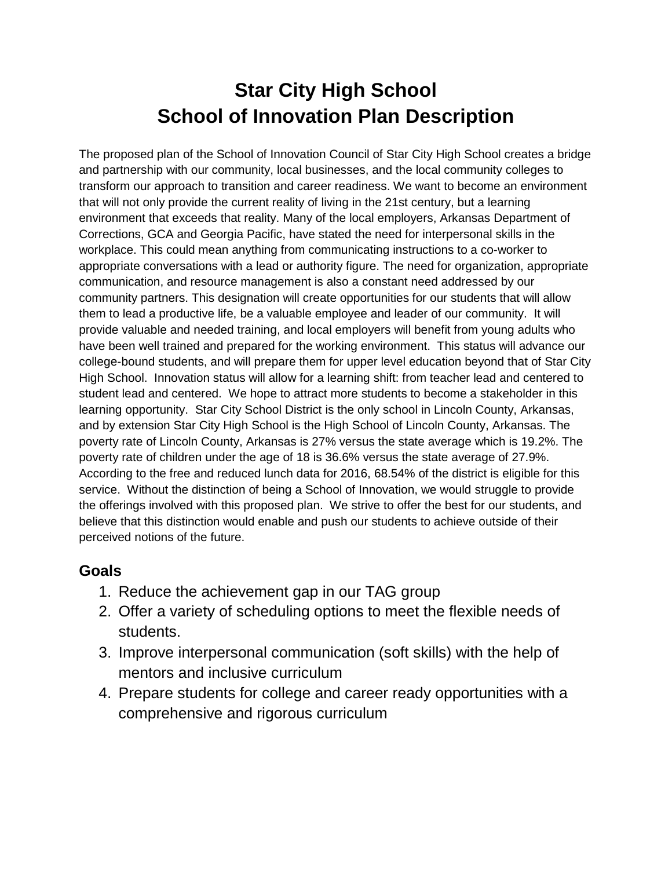# **Star City High School School of Innovation Plan Description**

The proposed plan of the School of Innovation Council of Star City High School creates a bridge and partnership with our community, local businesses, and the local community colleges to transform our approach to transition and career readiness. We want to become an environment that will not only provide the current reality of living in the 21st century, but a learning environment that exceeds that reality. Many of the local employers, Arkansas Department of Corrections, GCA and Georgia Pacific, have stated the need for interpersonal skills in the workplace. This could mean anything from communicating instructions to a co-worker to appropriate conversations with a lead or authority figure. The need for organization, appropriate communication, and resource management is also a constant need addressed by our community partners. This designation will create opportunities for our students that will allow them to lead a productive life, be a valuable employee and leader of our community. It will provide valuable and needed training, and local employers will benefit from young adults who have been well trained and prepared for the working environment. This status will advance our college-bound students, and will prepare them for upper level education beyond that of Star City High School. Innovation status will allow for a learning shift: from teacher lead and centered to student lead and centered. We hope to attract more students to become a stakeholder in this learning opportunity. Star City School District is the only school in Lincoln County, Arkansas, and by extension Star City High School is the High School of Lincoln County, Arkansas. The poverty rate of Lincoln County, Arkansas is 27% versus the state average which is 19.2%. The poverty rate of children under the age of 18 is 36.6% versus the state average of 27.9%. According to the free and reduced lunch data for 2016, 68.54% of the district is eligible for this service. Without the distinction of being a School of Innovation, we would struggle to provide the offerings involved with this proposed plan. We strive to offer the best for our students, and believe that this distinction would enable and push our students to achieve outside of their perceived notions of the future.

#### **Goals**

- 1. Reduce the achievement gap in our TAG group
- 2. Offer a variety of scheduling options to meet the flexible needs of students.
- 3. Improve interpersonal communication (soft skills) with the help of mentors and inclusive curriculum
- 4. Prepare students for college and career ready opportunities with a comprehensive and rigorous curriculum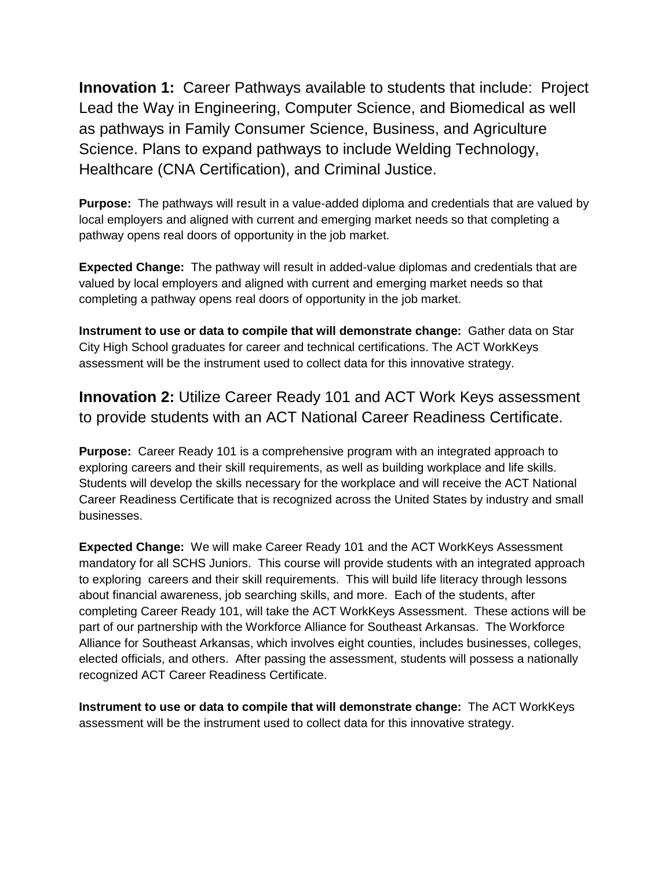**Innovation 1:** Career Pathways available to students that include: Project Lead the Way in Engineering, Computer Science, and Biomedical as well as pathways in Family Consumer Science, Business, and Agriculture Science. Plans to expand pathways to include Welding Technology, Healthcare (CNA Certification), and Criminal Justice.

**Purpose:** The pathways will result in a value-added diploma and credentials that are valued by local employers and aligned with current and emerging market needs so that completing a pathway opens real doors of opportunity in the job market.

**Expected Change:** The pathway will result in added-value diplomas and credentials that are valued by local employers and aligned with current and emerging market needs so that completing a pathway opens real doors of opportunity in the job market.

**Instrument to use or data to compile that will demonstrate change:** Gather data on Star City High School graduates for career and technical certifications. The ACT WorkKeys assessment will be the instrument used to collect data for this innovative strategy.

**Innovation 2:** Utilize Career Ready 101 and ACT Work Keys assessment to provide students with an ACT National Career Readiness Certificate.

**Purpose:** Career Ready 101 is a comprehensive program with an integrated approach to exploring careers and their skill requirements, as well as building workplace and life skills. Students will develop the skills necessary for the workplace and will receive the ACT National Career Readiness Certificate that is recognized across the United States by industry and small businesses.

**Expected Change:** We will make Career Ready 101 and the ACT WorkKeys Assessment mandatory for all SCHS Juniors. This course will provide students with an integrated approach to exploring careers and their skill requirements. This will build life literacy through lessons about financial awareness, job searching skills, and more. Each of the students, after completing Career Ready 101, will take the ACT WorkKeys Assessment. These actions will be part of our partnership with the Workforce Alliance for Southeast Arkansas. The Workforce Alliance for Southeast Arkansas, which involves eight counties, includes businesses, colleges, elected officials, and others. After passing the assessment, students will possess a nationally recognized ACT Career Readiness Certificate.

**Instrument to use or data to compile that will demonstrate change:** The ACT WorkKeys assessment will be the instrument used to collect data for this innovative strategy.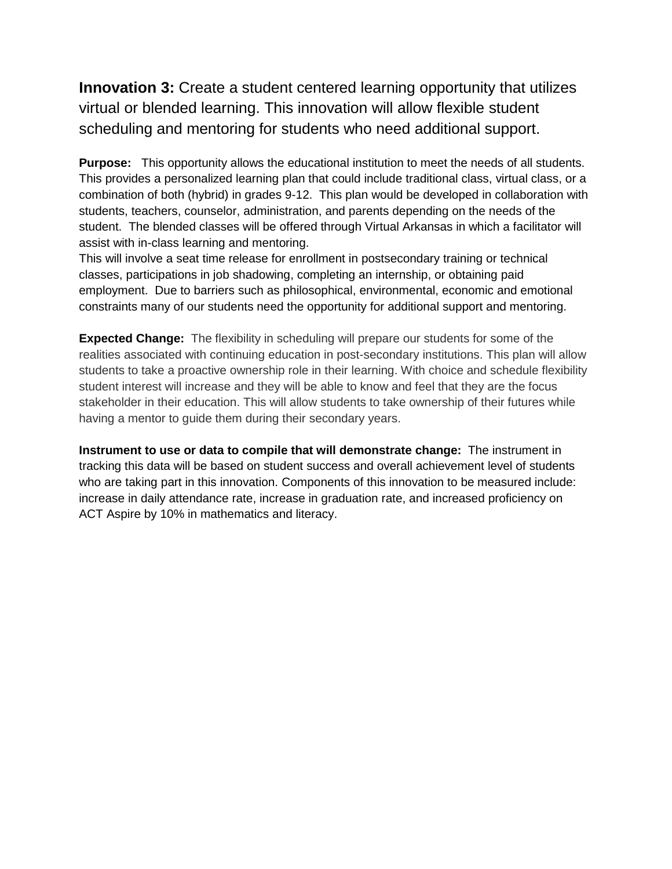**Innovation 3:** Create a student centered learning opportunity that utilizes virtual or blended learning. This innovation will allow flexible student scheduling and mentoring for students who need additional support.

**Purpose:** This opportunity allows the educational institution to meet the needs of all students. This provides a personalized learning plan that could include traditional class, virtual class, or a combination of both (hybrid) in grades 9-12. This plan would be developed in collaboration with students, teachers, counselor, administration, and parents depending on the needs of the student. The blended classes will be offered through Virtual Arkansas in which a facilitator will assist with in-class learning and mentoring.

This will involve a seat time release for enrollment in postsecondary training or technical classes, participations in job shadowing, completing an internship, or obtaining paid employment. Due to barriers such as philosophical, environmental, economic and emotional constraints many of our students need the opportunity for additional support and mentoring.

**Expected Change:** The flexibility in scheduling will prepare our students for some of the realities associated with continuing education in post-secondary institutions. This plan will allow students to take a proactive ownership role in their learning. With choice and schedule flexibility student interest will increase and they will be able to know and feel that they are the focus stakeholder in their education. This will allow students to take ownership of their futures while having a mentor to guide them during their secondary years.

**Instrument to use or data to compile that will demonstrate change:** The instrument in tracking this data will be based on student success and overall achievement level of students who are taking part in this innovation. Components of this innovation to be measured include: increase in daily attendance rate, increase in graduation rate, and increased proficiency on ACT Aspire by 10% in mathematics and literacy.